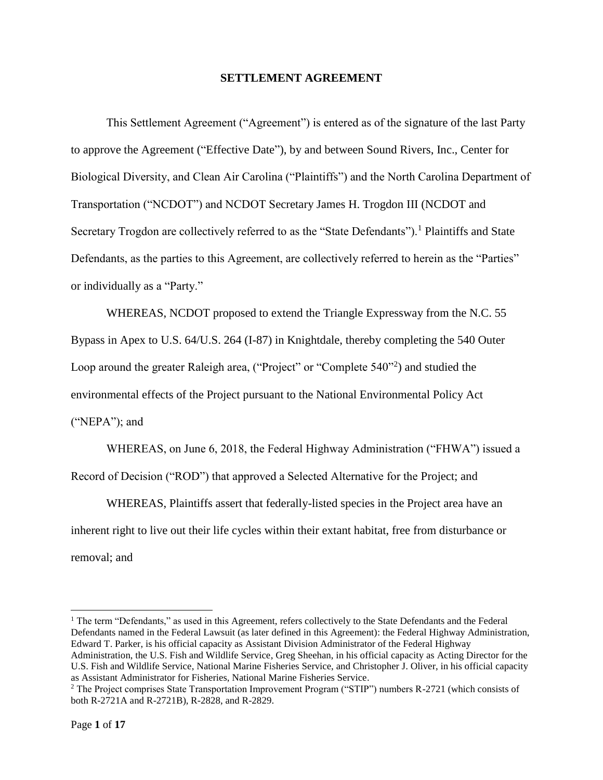### **SETTLEMENT AGREEMENT**

This Settlement Agreement ("Agreement") is entered as of the signature of the last Party to approve the Agreement ("Effective Date"), by and between Sound Rivers, Inc., Center for Biological Diversity, and Clean Air Carolina ("Plaintiffs") and the North Carolina Department of Transportation ("NCDOT") and NCDOT Secretary James H. Trogdon III (NCDOT and Secretary Trogdon are collectively referred to as the "State Defendants").<sup>1</sup> Plaintiffs and State Defendants, as the parties to this Agreement, are collectively referred to herein as the "Parties" or individually as a "Party."

WHEREAS, NCDOT proposed to extend the Triangle Expressway from the N.C. 55 Bypass in Apex to U.S. 64/U.S. 264 (I-87) in Knightdale, thereby completing the 540 Outer Loop around the greater Raleigh area, ("Project" or "Complete 540"<sup>2</sup>) and studied the environmental effects of the Project pursuant to the National Environmental Policy Act ("NEPA"); and

WHEREAS, on June 6, 2018, the Federal Highway Administration ("FHWA") issued a Record of Decision ("ROD") that approved a Selected Alternative for the Project; and

WHEREAS, Plaintiffs assert that federally-listed species in the Project area have an inherent right to live out their life cycles within their extant habitat, free from disturbance or removal; and

 $\overline{\phantom{a}}$ 

<sup>&</sup>lt;sup>1</sup> The term "Defendants," as used in this Agreement, refers collectively to the State Defendants and the Federal Defendants named in the Federal Lawsuit (as later defined in this Agreement): the Federal Highway Administration, Edward T. Parker, is his official capacity as Assistant Division Administrator of the Federal Highway Administration, the U.S. Fish and Wildlife Service, Greg Sheehan, in his official capacity as Acting Director for the U.S. Fish and Wildlife Service, National Marine Fisheries Service, and Christopher J. Oliver, in his official capacity as Assistant Administrator for Fisheries, National Marine Fisheries Service.

<sup>&</sup>lt;sup>2</sup> The Project comprises State Transportation Improvement Program ("STIP") numbers R-2721 (which consists of both R-2721A and R-2721B), R-2828, and R-2829.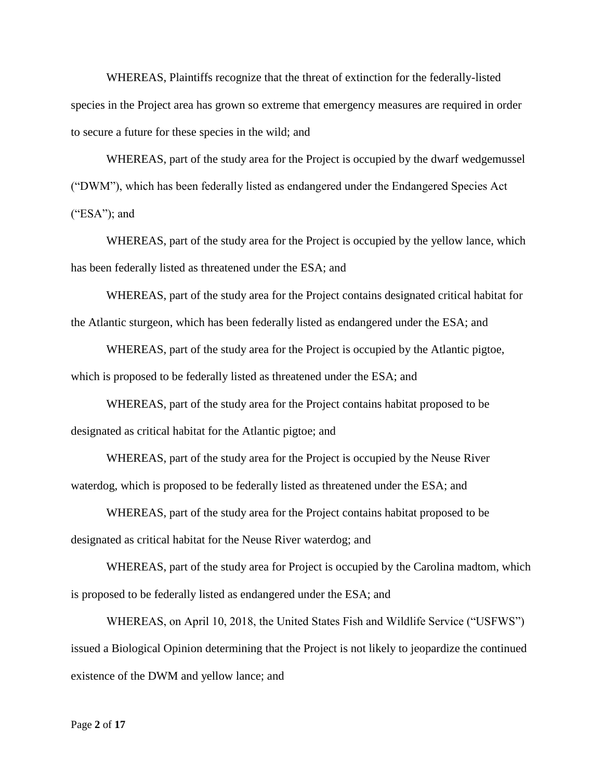WHEREAS, Plaintiffs recognize that the threat of extinction for the federally-listed species in the Project area has grown so extreme that emergency measures are required in order to secure a future for these species in the wild; and

WHEREAS, part of the study area for the Project is occupied by the dwarf wedgemussel ("DWM"), which has been federally listed as endangered under the Endangered Species Act  $("ESA")$ ; and

WHEREAS, part of the study area for the Project is occupied by the yellow lance, which has been federally listed as threatened under the ESA; and

WHEREAS, part of the study area for the Project contains designated critical habitat for the Atlantic sturgeon, which has been federally listed as endangered under the ESA; and

WHEREAS, part of the study area for the Project is occupied by the Atlantic pigtoe, which is proposed to be federally listed as threatened under the ESA; and

WHEREAS, part of the study area for the Project contains habitat proposed to be designated as critical habitat for the Atlantic pigtoe; and

WHEREAS, part of the study area for the Project is occupied by the Neuse River waterdog, which is proposed to be federally listed as threatened under the ESA; and

WHEREAS, part of the study area for the Project contains habitat proposed to be designated as critical habitat for the Neuse River waterdog; and

WHEREAS, part of the study area for Project is occupied by the Carolina madtom, which is proposed to be federally listed as endangered under the ESA; and

WHEREAS, on April 10, 2018, the United States Fish and Wildlife Service ("USFWS") issued a Biological Opinion determining that the Project is not likely to jeopardize the continued existence of the DWM and yellow lance; and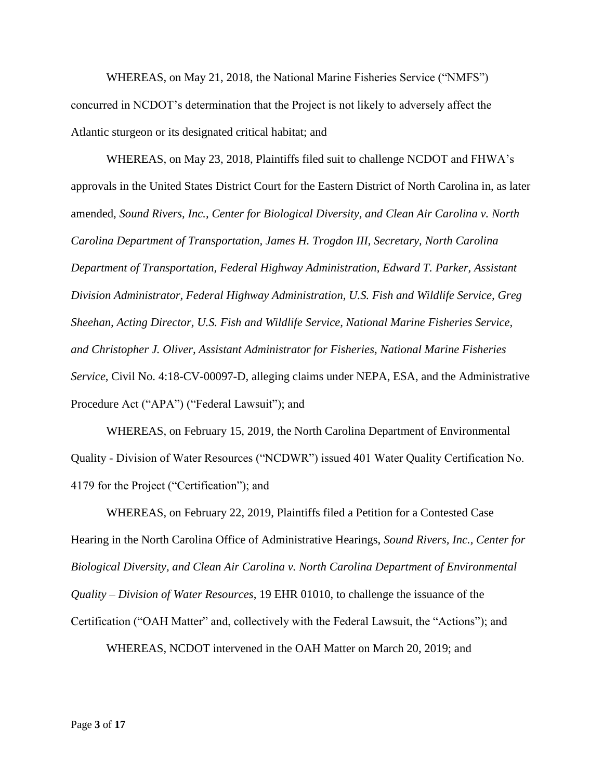WHEREAS, on May 21, 2018, the National Marine Fisheries Service ("NMFS") concurred in NCDOT's determination that the Project is not likely to adversely affect the Atlantic sturgeon or its designated critical habitat; and

WHEREAS, on May 23, 2018, Plaintiffs filed suit to challenge NCDOT and FHWA's approvals in the United States District Court for the Eastern District of North Carolina in, as later amended, *Sound Rivers, Inc., Center for Biological Diversity, and Clean Air Carolina v. North Carolina Department of Transportation, James H. Trogdon III, Secretary, North Carolina Department of Transportation, Federal Highway Administration, Edward T. Parker, Assistant Division Administrator, Federal Highway Administration, U.S. Fish and Wildlife Service, Greg Sheehan, Acting Director, U.S. Fish and Wildlife Service, National Marine Fisheries Service, and Christopher J. Oliver, Assistant Administrator for Fisheries, National Marine Fisheries Service*, Civil No. 4:18-CV-00097-D, alleging claims under NEPA, ESA, and the Administrative Procedure Act ("APA") ("Federal Lawsuit"); and

WHEREAS, on February 15, 2019, the North Carolina Department of Environmental Quality - Division of Water Resources ("NCDWR") issued 401 Water Quality Certification No. 4179 for the Project ("Certification"); and

WHEREAS, on February 22, 2019, Plaintiffs filed a Petition for a Contested Case Hearing in the North Carolina Office of Administrative Hearings, *Sound Rivers, Inc., Center for Biological Diversity, and Clean Air Carolina v. North Carolina Department of Environmental Quality – Division of Water Resources*, 19 EHR 01010, to challenge the issuance of the Certification ("OAH Matter" and, collectively with the Federal Lawsuit, the "Actions"); and WHEREAS, NCDOT intervened in the OAH Matter on March 20, 2019; and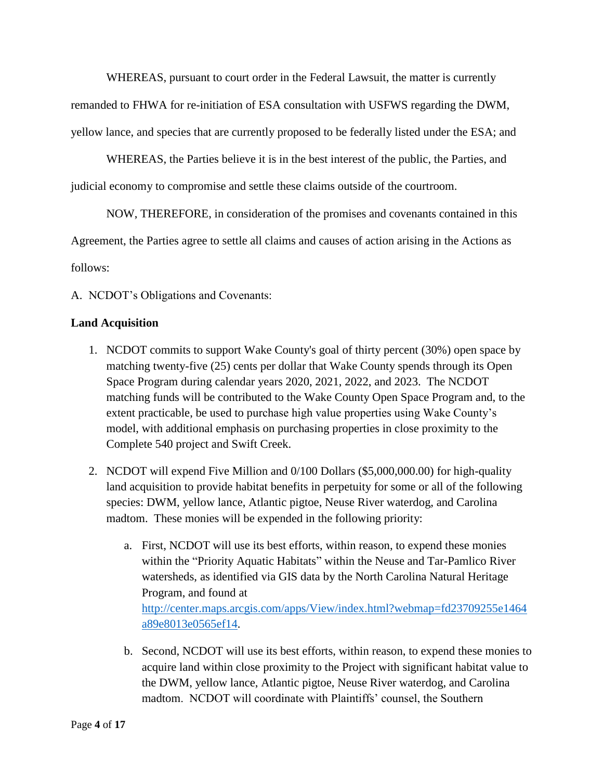WHEREAS, pursuant to court order in the Federal Lawsuit, the matter is currently

remanded to FHWA for re-initiation of ESA consultation with USFWS regarding the DWM,

yellow lance, and species that are currently proposed to be federally listed under the ESA; and

WHEREAS, the Parties believe it is in the best interest of the public, the Parties, and

judicial economy to compromise and settle these claims outside of the courtroom.

NOW, THEREFORE, in consideration of the promises and covenants contained in this

Agreement, the Parties agree to settle all claims and causes of action arising in the Actions as

follows:

A. NCDOT's Obligations and Covenants:

# **Land Acquisition**

- 1. NCDOT commits to support Wake County's goal of thirty percent (30%) open space by matching twenty-five (25) cents per dollar that Wake County spends through its Open Space Program during calendar years 2020, 2021, 2022, and 2023. The NCDOT matching funds will be contributed to the Wake County Open Space Program and, to the extent practicable, be used to purchase high value properties using Wake County's model, with additional emphasis on purchasing properties in close proximity to the Complete 540 project and Swift Creek.
- 2. NCDOT will expend Five Million and 0/100 Dollars (\$5,000,000.00) for high-quality land acquisition to provide habitat benefits in perpetuity for some or all of the following species: DWM, yellow lance, Atlantic pigtoe, Neuse River waterdog, and Carolina madtom. These monies will be expended in the following priority:
	- a. First, NCDOT will use its best efforts, within reason, to expend these monies within the "Priority Aquatic Habitats" within the Neuse and Tar-Pamlico River watersheds, as identified via GIS data by the North Carolina Natural Heritage Program, and found at [http://center.maps.arcgis.com/apps/View/index.html?webmap=fd23709255e1464](http://center.maps.arcgis.com/apps/View/index.html?webmap=fd23709255e1464a89e8013e0565ef14) [a89e8013e0565ef14.](http://center.maps.arcgis.com/apps/View/index.html?webmap=fd23709255e1464a89e8013e0565ef14)
	- b. Second, NCDOT will use its best efforts, within reason, to expend these monies to acquire land within close proximity to the Project with significant habitat value to the DWM, yellow lance, Atlantic pigtoe, Neuse River waterdog, and Carolina madtom. NCDOT will coordinate with Plaintiffs' counsel, the Southern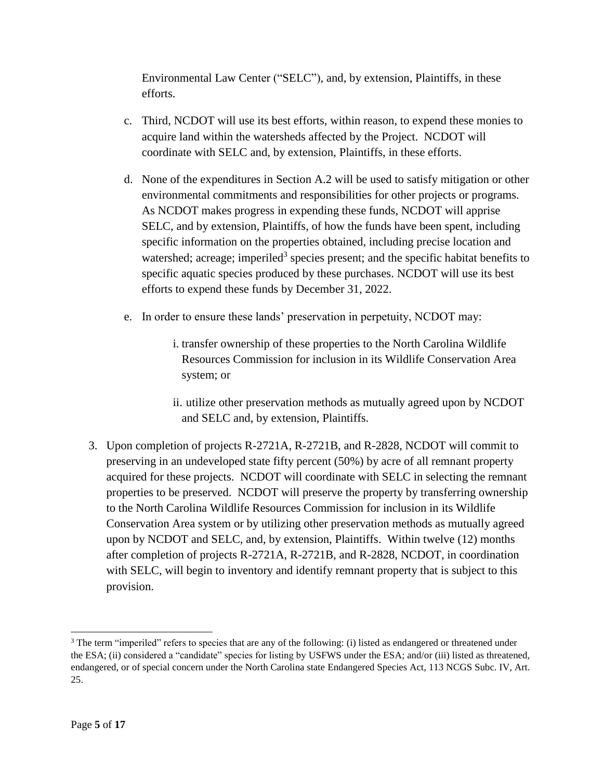Environmental Law Center ("SELC"), and, by extension, Plaintiffs, in these efforts.

- c. Third, NCDOT will use its best efforts, within reason, to expend these monies to acquire land within the watersheds affected by the Project. NCDOT will coordinate with SELC and, by extension, Plaintiffs, in these efforts.
- d. None of the expenditures in Section A.2 will be used to satisfy mitigation or other environmental commitments and responsibilities for other projects or programs. As NCDOT makes progress in expending these funds, NCDOT will apprise SELC, and by extension, Plaintiffs, of how the funds have been spent, including specific information on the properties obtained, including precise location and watershed; acreage; imperiled<sup>3</sup> species present; and the specific habitat benefits to specific aquatic species produced by these purchases. NCDOT will use its best efforts to expend these funds by December 31, 2022.
- e. In order to ensure these lands' preservation in perpetuity, NCDOT may:
	- i. transfer ownership of these properties to the North Carolina Wildlife Resources Commission for inclusion in its Wildlife Conservation Area system; or
	- ii. utilize other preservation methods as mutually agreed upon by NCDOT and SELC and, by extension, Plaintiffs.
- 3. Upon completion of projects R-2721A, R-2721B, and R-2828, NCDOT will commit to preserving in an undeveloped state fifty percent (50%) by acre of all remnant property acquired for these projects. NCDOT will coordinate with SELC in selecting the remnant properties to be preserved. NCDOT will preserve the property by transferring ownership to the North Carolina Wildlife Resources Commission for inclusion in its Wildlife Conservation Area system or by utilizing other preservation methods as mutually agreed upon by NCDOT and SELC, and, by extension, Plaintiffs. Within twelve (12) months after completion of projects R-2721A, R-2721B, and R-2828, NCDOT, in coordination with SELC, will begin to inventory and identify remnant property that is subject to this provision.

 $\overline{\phantom{a}}$ 

<sup>&</sup>lt;sup>3</sup> The term "imperiled" refers to species that are any of the following: (i) listed as endangered or threatened under the ESA; (ii) considered a "candidate" species for listing by USFWS under the ESA; and/or (iii) listed as threatened, endangered, or of special concern under the North Carolina state Endangered Species Act, 113 NCGS Subc. IV, Art. 25.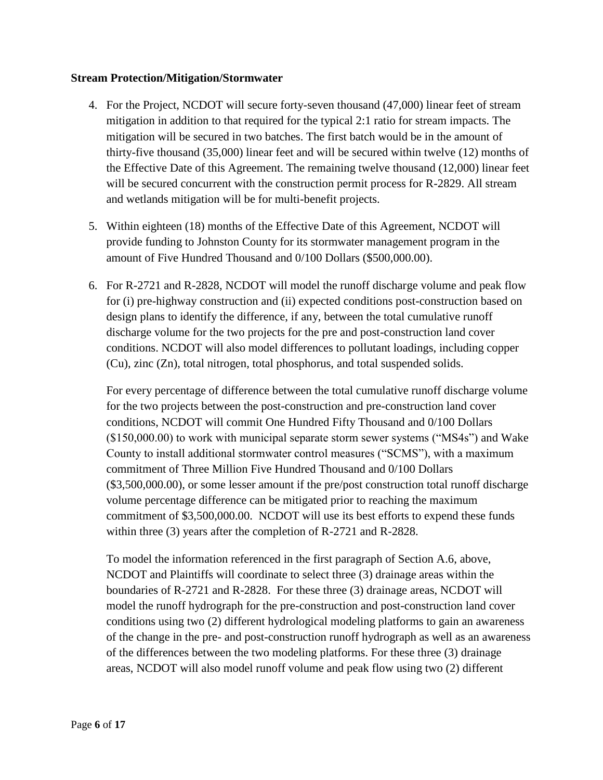# **Stream Protection/Mitigation/Stormwater**

- 4. For the Project, NCDOT will secure forty-seven thousand (47,000) linear feet of stream mitigation in addition to that required for the typical 2:1 ratio for stream impacts. The mitigation will be secured in two batches. The first batch would be in the amount of thirty-five thousand (35,000) linear feet and will be secured within twelve (12) months of the Effective Date of this Agreement. The remaining twelve thousand (12,000) linear feet will be secured concurrent with the construction permit process for R-2829. All stream and wetlands mitigation will be for multi-benefit projects.
- 5. Within eighteen (18) months of the Effective Date of this Agreement, NCDOT will provide funding to Johnston County for its stormwater management program in the amount of Five Hundred Thousand and 0/100 Dollars (\$500,000.00).
- 6. For R-2721 and R-2828, NCDOT will model the runoff discharge volume and peak flow for (i) pre-highway construction and (ii) expected conditions post-construction based on design plans to identify the difference, if any, between the total cumulative runoff discharge volume for the two projects for the pre and post-construction land cover conditions. NCDOT will also model differences to pollutant loadings, including copper (Cu), zinc (Zn), total nitrogen, total phosphorus, and total suspended solids.

For every percentage of difference between the total cumulative runoff discharge volume for the two projects between the post-construction and pre-construction land cover conditions, NCDOT will commit One Hundred Fifty Thousand and 0/100 Dollars (\$150,000.00) to work with municipal separate storm sewer systems ("MS4s") and Wake County to install additional stormwater control measures ("SCMS"), with a maximum commitment of Three Million Five Hundred Thousand and 0/100 Dollars (\$3,500,000.00), or some lesser amount if the pre/post construction total runoff discharge volume percentage difference can be mitigated prior to reaching the maximum commitment of \$3,500,000.00. NCDOT will use its best efforts to expend these funds within three (3) years after the completion of R-2721 and R-2828.

To model the information referenced in the first paragraph of Section A.6, above, NCDOT and Plaintiffs will coordinate to select three (3) drainage areas within the boundaries of R-2721 and R-2828. For these three (3) drainage areas, NCDOT will model the runoff hydrograph for the pre-construction and post-construction land cover conditions using two (2) different hydrological modeling platforms to gain an awareness of the change in the pre- and post-construction runoff hydrograph as well as an awareness of the differences between the two modeling platforms. For these three (3) drainage areas, NCDOT will also model runoff volume and peak flow using two (2) different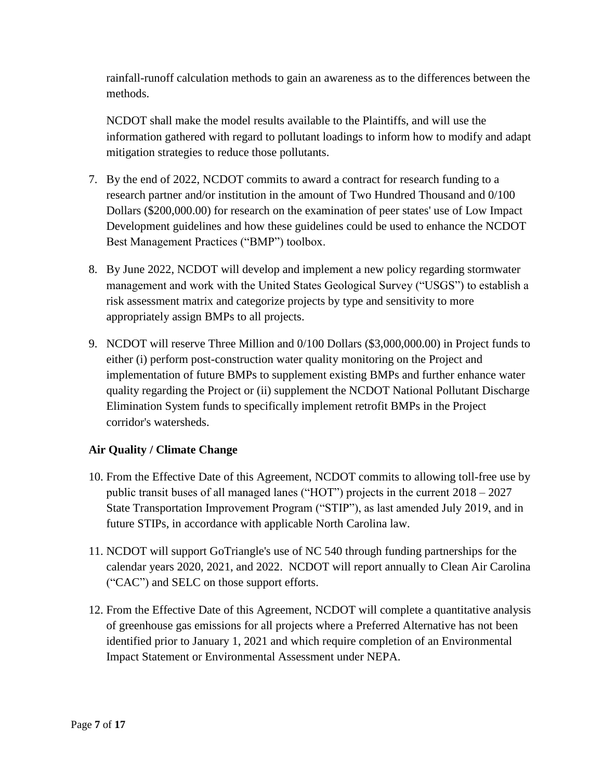rainfall-runoff calculation methods to gain an awareness as to the differences between the methods.

NCDOT shall make the model results available to the Plaintiffs, and will use the information gathered with regard to pollutant loadings to inform how to modify and adapt mitigation strategies to reduce those pollutants.

- 7. By the end of 2022, NCDOT commits to award a contract for research funding to a research partner and/or institution in the amount of Two Hundred Thousand and 0/100 Dollars (\$200,000.00) for research on the examination of peer states' use of Low Impact Development guidelines and how these guidelines could be used to enhance the NCDOT Best Management Practices ("BMP") toolbox.
- 8. By June 2022, NCDOT will develop and implement a new policy regarding stormwater management and work with the United States Geological Survey ("USGS") to establish a risk assessment matrix and categorize projects by type and sensitivity to more appropriately assign BMPs to all projects.
- 9. NCDOT will reserve Three Million and 0/100 Dollars (\$3,000,000.00) in Project funds to either (i) perform post-construction water quality monitoring on the Project and implementation of future BMPs to supplement existing BMPs and further enhance water quality regarding the Project or (ii) supplement the NCDOT National Pollutant Discharge Elimination System funds to specifically implement retrofit BMPs in the Project corridor's watersheds.

# **Air Quality / Climate Change**

- 10. From the Effective Date of this Agreement, NCDOT commits to allowing toll-free use by public transit buses of all managed lanes ("HOT") projects in the current 2018 – 2027 State Transportation Improvement Program ("STIP"), as last amended July 2019, and in future STIPs, in accordance with applicable North Carolina law.
- 11. NCDOT will support GoTriangle's use of NC 540 through funding partnerships for the calendar years 2020, 2021, and 2022. NCDOT will report annually to Clean Air Carolina ("CAC") and SELC on those support efforts.
- 12. From the Effective Date of this Agreement, NCDOT will complete a quantitative analysis of greenhouse gas emissions for all projects where a Preferred Alternative has not been identified prior to January 1, 2021 and which require completion of an Environmental Impact Statement or Environmental Assessment under NEPA.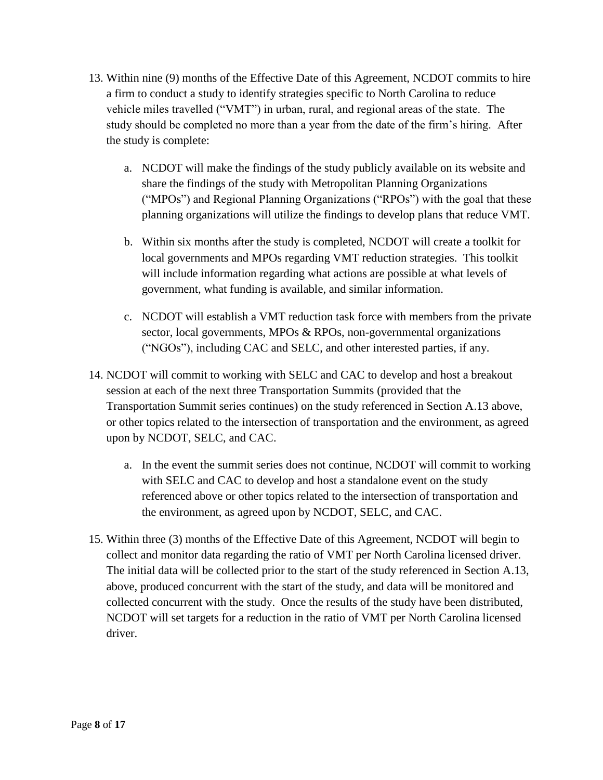- 13. Within nine (9) months of the Effective Date of this Agreement, NCDOT commits to hire a firm to conduct a study to identify strategies specific to North Carolina to reduce vehicle miles travelled ("VMT") in urban, rural, and regional areas of the state. The study should be completed no more than a year from the date of the firm's hiring. After the study is complete:
	- a. NCDOT will make the findings of the study publicly available on its website and share the findings of the study with Metropolitan Planning Organizations ("MPOs") and Regional Planning Organizations ("RPOs") with the goal that these planning organizations will utilize the findings to develop plans that reduce VMT.
	- b. Within six months after the study is completed, NCDOT will create a toolkit for local governments and MPOs regarding VMT reduction strategies. This toolkit will include information regarding what actions are possible at what levels of government, what funding is available, and similar information.
	- c. NCDOT will establish a VMT reduction task force with members from the private sector, local governments, MPOs & RPOs, non-governmental organizations ("NGOs"), including CAC and SELC, and other interested parties, if any.
- 14. NCDOT will commit to working with SELC and CAC to develop and host a breakout session at each of the next three Transportation Summits (provided that the Transportation Summit series continues) on the study referenced in Section A.13 above, or other topics related to the intersection of transportation and the environment, as agreed upon by NCDOT, SELC, and CAC.
	- a. In the event the summit series does not continue, NCDOT will commit to working with SELC and CAC to develop and host a standalone event on the study referenced above or other topics related to the intersection of transportation and the environment, as agreed upon by NCDOT, SELC, and CAC.
- 15. Within three (3) months of the Effective Date of this Agreement, NCDOT will begin to collect and monitor data regarding the ratio of VMT per North Carolina licensed driver. The initial data will be collected prior to the start of the study referenced in Section A.13, above, produced concurrent with the start of the study, and data will be monitored and collected concurrent with the study. Once the results of the study have been distributed, NCDOT will set targets for a reduction in the ratio of VMT per North Carolina licensed driver.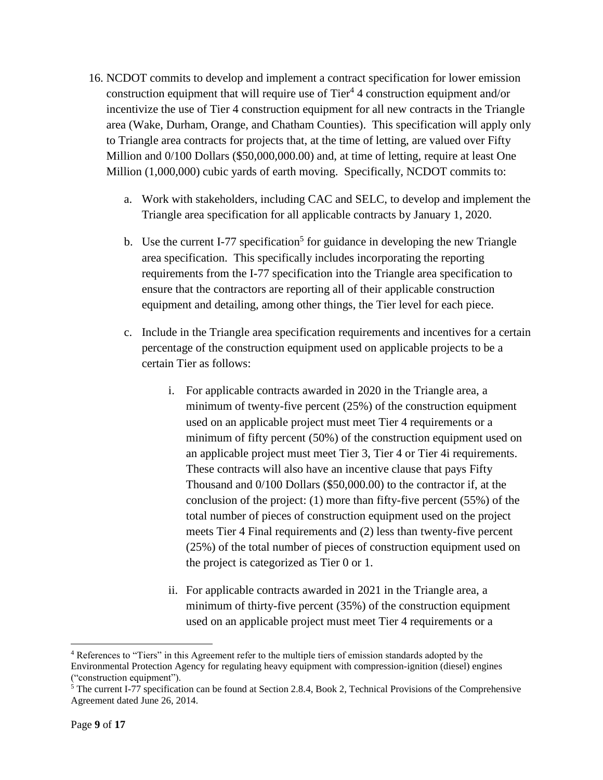- 16. NCDOT commits to develop and implement a contract specification for lower emission construction equipment that will require use of Tier<sup>4</sup> 4 construction equipment and/or incentivize the use of Tier 4 construction equipment for all new contracts in the Triangle area (Wake, Durham, Orange, and Chatham Counties). This specification will apply only to Triangle area contracts for projects that, at the time of letting, are valued over Fifty Million and  $0/100$  Dollars (\$50,000,000.00) and, at time of letting, require at least One Million (1,000,000) cubic yards of earth moving. Specifically, NCDOT commits to:
	- a. Work with stakeholders, including CAC and SELC, to develop and implement the Triangle area specification for all applicable contracts by January 1, 2020.
	- b. Use the current I-77 specification<sup>5</sup> for guidance in developing the new Triangle area specification. This specifically includes incorporating the reporting requirements from the I-77 specification into the Triangle area specification to ensure that the contractors are reporting all of their applicable construction equipment and detailing, among other things, the Tier level for each piece.
	- c. Include in the Triangle area specification requirements and incentives for a certain percentage of the construction equipment used on applicable projects to be a certain Tier as follows:
		- i. For applicable contracts awarded in 2020 in the Triangle area, a minimum of twenty-five percent (25%) of the construction equipment used on an applicable project must meet Tier 4 requirements or a minimum of fifty percent (50%) of the construction equipment used on an applicable project must meet Tier 3, Tier 4 or Tier 4i requirements. These contracts will also have an incentive clause that pays Fifty Thousand and 0/100 Dollars (\$50,000.00) to the contractor if, at the conclusion of the project: (1) more than fifty-five percent (55%) of the total number of pieces of construction equipment used on the project meets Tier 4 Final requirements and (2) less than twenty-five percent (25%) of the total number of pieces of construction equipment used on the project is categorized as Tier 0 or 1.
		- ii. For applicable contracts awarded in 2021 in the Triangle area, a minimum of thirty-five percent (35%) of the construction equipment used on an applicable project must meet Tier 4 requirements or a

 $\overline{\phantom{a}}$ 

<sup>4</sup> References to "Tiers" in this Agreement refer to the multiple tiers of emission standards adopted by the Environmental Protection Agency for regulating heavy equipment with compression-ignition (diesel) engines ("construction equipment").

 $\frac{5}{3}$  The current I-77 specification can be found at Section 2.8.4, Book 2, Technical Provisions of the Comprehensive Agreement dated June 26, 2014.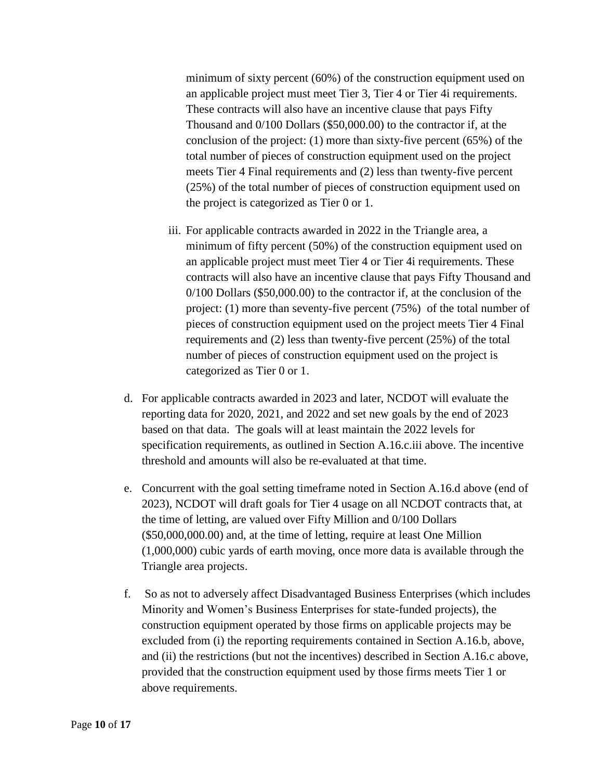minimum of sixty percent (60%) of the construction equipment used on an applicable project must meet Tier 3, Tier 4 or Tier 4i requirements. These contracts will also have an incentive clause that pays Fifty Thousand and 0/100 Dollars (\$50,000.00) to the contractor if, at the conclusion of the project: (1) more than sixty-five percent (65%) of the total number of pieces of construction equipment used on the project meets Tier 4 Final requirements and (2) less than twenty-five percent (25%) of the total number of pieces of construction equipment used on the project is categorized as Tier 0 or 1.

- iii. For applicable contracts awarded in 2022 in the Triangle area, a minimum of fifty percent (50%) of the construction equipment used on an applicable project must meet Tier 4 or Tier 4i requirements. These contracts will also have an incentive clause that pays Fifty Thousand and 0/100 Dollars (\$50,000.00) to the contractor if, at the conclusion of the project: (1) more than seventy-five percent (75%) of the total number of pieces of construction equipment used on the project meets Tier 4 Final requirements and (2) less than twenty-five percent (25%) of the total number of pieces of construction equipment used on the project is categorized as Tier 0 or 1.
- d. For applicable contracts awarded in 2023 and later, NCDOT will evaluate the reporting data for 2020, 2021, and 2022 and set new goals by the end of 2023 based on that data. The goals will at least maintain the 2022 levels for specification requirements, as outlined in Section A.16.c.iii above. The incentive threshold and amounts will also be re-evaluated at that time.
- e. Concurrent with the goal setting timeframe noted in Section A.16.d above (end of 2023), NCDOT will draft goals for Tier 4 usage on all NCDOT contracts that, at the time of letting, are valued over Fifty Million and 0/100 Dollars (\$50,000,000.00) and, at the time of letting, require at least One Million (1,000,000) cubic yards of earth moving, once more data is available through the Triangle area projects.
- f. So as not to adversely affect Disadvantaged Business Enterprises (which includes Minority and Women's Business Enterprises for state-funded projects), the construction equipment operated by those firms on applicable projects may be excluded from (i) the reporting requirements contained in Section A.16.b, above, and (ii) the restrictions (but not the incentives) described in Section A.16.c above, provided that the construction equipment used by those firms meets Tier 1 or above requirements.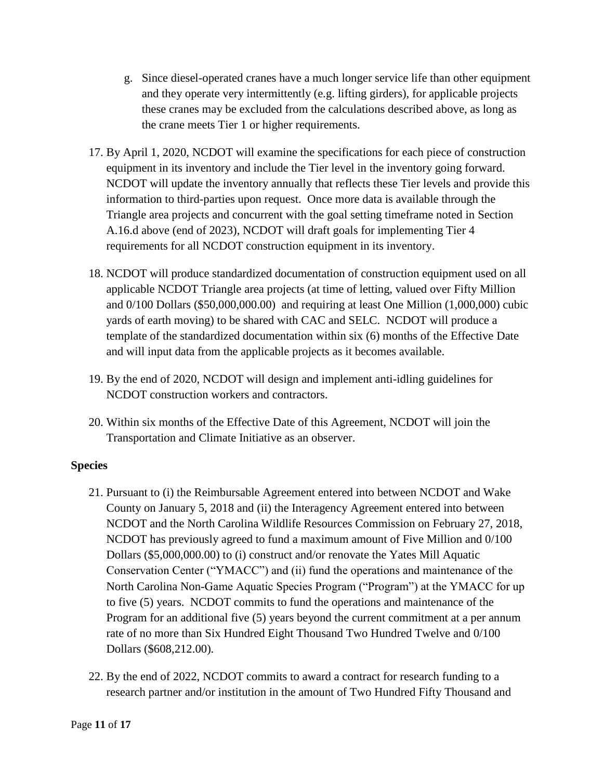- g. Since diesel-operated cranes have a much longer service life than other equipment and they operate very intermittently (e.g. lifting girders), for applicable projects these cranes may be excluded from the calculations described above, as long as the crane meets Tier 1 or higher requirements.
- 17. By April 1, 2020, NCDOT will examine the specifications for each piece of construction equipment in its inventory and include the Tier level in the inventory going forward. NCDOT will update the inventory annually that reflects these Tier levels and provide this information to third-parties upon request. Once more data is available through the Triangle area projects and concurrent with the goal setting timeframe noted in Section A.16.d above (end of 2023), NCDOT will draft goals for implementing Tier 4 requirements for all NCDOT construction equipment in its inventory.
- 18. NCDOT will produce standardized documentation of construction equipment used on all applicable NCDOT Triangle area projects (at time of letting, valued over Fifty Million and 0/100 Dollars (\$50,000,000.00) and requiring at least One Million (1,000,000) cubic yards of earth moving) to be shared with CAC and SELC. NCDOT will produce a template of the standardized documentation within six (6) months of the Effective Date and will input data from the applicable projects as it becomes available.
- 19. By the end of 2020, NCDOT will design and implement anti-idling guidelines for NCDOT construction workers and contractors.
- 20. Within six months of the Effective Date of this Agreement, NCDOT will join the Transportation and Climate Initiative as an observer.

# **Species**

- 21. Pursuant to (i) the Reimbursable Agreement entered into between NCDOT and Wake County on January 5, 2018 and (ii) the Interagency Agreement entered into between NCDOT and the North Carolina Wildlife Resources Commission on February 27, 2018, NCDOT has previously agreed to fund a maximum amount of Five Million and 0/100 Dollars (\$5,000,000.00) to (i) construct and/or renovate the Yates Mill Aquatic Conservation Center ("YMACC") and (ii) fund the operations and maintenance of the North Carolina Non-Game Aquatic Species Program ("Program") at the YMACC for up to five (5) years. NCDOT commits to fund the operations and maintenance of the Program for an additional five (5) years beyond the current commitment at a per annum rate of no more than Six Hundred Eight Thousand Two Hundred Twelve and 0/100 Dollars (\$608,212.00).
- 22. By the end of 2022, NCDOT commits to award a contract for research funding to a research partner and/or institution in the amount of Two Hundred Fifty Thousand and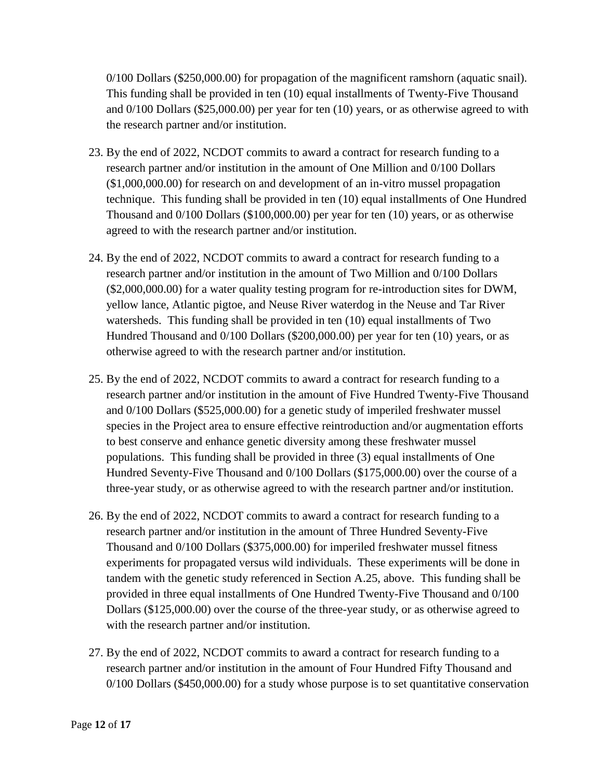0/100 Dollars (\$250,000.00) for propagation of the magnificent ramshorn (aquatic snail). This funding shall be provided in ten (10) equal installments of Twenty-Five Thousand and 0/100 Dollars (\$25,000.00) per year for ten (10) years, or as otherwise agreed to with the research partner and/or institution.

- 23. By the end of 2022, NCDOT commits to award a contract for research funding to a research partner and/or institution in the amount of One Million and 0/100 Dollars (\$1,000,000.00) for research on and development of an in-vitro mussel propagation technique. This funding shall be provided in ten (10) equal installments of One Hundred Thousand and 0/100 Dollars (\$100,000.00) per year for ten (10) years, or as otherwise agreed to with the research partner and/or institution.
- 24. By the end of 2022, NCDOT commits to award a contract for research funding to a research partner and/or institution in the amount of Two Million and 0/100 Dollars (\$2,000,000.00) for a water quality testing program for re-introduction sites for DWM, yellow lance, Atlantic pigtoe, and Neuse River waterdog in the Neuse and Tar River watersheds. This funding shall be provided in ten (10) equal installments of Two Hundred Thousand and 0/100 Dollars (\$200,000.00) per year for ten (10) years, or as otherwise agreed to with the research partner and/or institution.
- 25. By the end of 2022, NCDOT commits to award a contract for research funding to a research partner and/or institution in the amount of Five Hundred Twenty-Five Thousand and 0/100 Dollars (\$525,000.00) for a genetic study of imperiled freshwater mussel species in the Project area to ensure effective reintroduction and/or augmentation efforts to best conserve and enhance genetic diversity among these freshwater mussel populations. This funding shall be provided in three (3) equal installments of One Hundred Seventy-Five Thousand and 0/100 Dollars (\$175,000.00) over the course of a three-year study, or as otherwise agreed to with the research partner and/or institution.
- 26. By the end of 2022, NCDOT commits to award a contract for research funding to a research partner and/or institution in the amount of Three Hundred Seventy-Five Thousand and 0/100 Dollars (\$375,000.00) for imperiled freshwater mussel fitness experiments for propagated versus wild individuals. These experiments will be done in tandem with the genetic study referenced in Section A.25, above. This funding shall be provided in three equal installments of One Hundred Twenty-Five Thousand and 0/100 Dollars (\$125,000.00) over the course of the three-year study, or as otherwise agreed to with the research partner and/or institution.
- 27. By the end of 2022, NCDOT commits to award a contract for research funding to a research partner and/or institution in the amount of Four Hundred Fifty Thousand and 0/100 Dollars (\$450,000.00) for a study whose purpose is to set quantitative conservation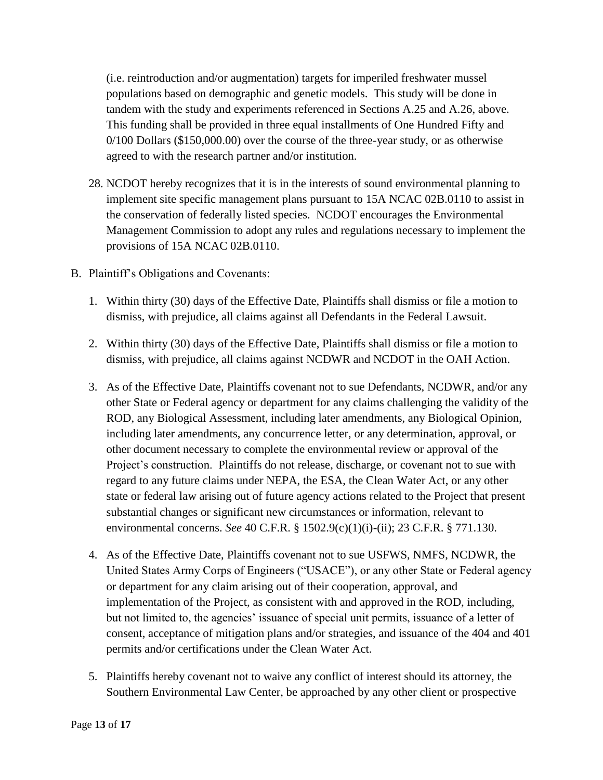(i.e. reintroduction and/or augmentation) targets for imperiled freshwater mussel populations based on demographic and genetic models. This study will be done in tandem with the study and experiments referenced in Sections A.25 and A.26, above. This funding shall be provided in three equal installments of One Hundred Fifty and 0/100 Dollars (\$150,000.00) over the course of the three-year study, or as otherwise agreed to with the research partner and/or institution.

- 28. NCDOT hereby recognizes that it is in the interests of sound environmental planning to implement site specific management plans pursuant to 15A NCAC 02B.0110 to assist in the conservation of federally listed species. NCDOT encourages the Environmental Management Commission to adopt any rules and regulations necessary to implement the provisions of 15A NCAC 02B.0110.
- B. Plaintiff's Obligations and Covenants:
	- 1. Within thirty (30) days of the Effective Date, Plaintiffs shall dismiss or file a motion to dismiss, with prejudice, all claims against all Defendants in the Federal Lawsuit.
	- 2. Within thirty (30) days of the Effective Date, Plaintiffs shall dismiss or file a motion to dismiss, with prejudice, all claims against NCDWR and NCDOT in the OAH Action.
	- 3. As of the Effective Date, Plaintiffs covenant not to sue Defendants, NCDWR, and/or any other State or Federal agency or department for any claims challenging the validity of the ROD, any Biological Assessment, including later amendments, any Biological Opinion, including later amendments, any concurrence letter, or any determination, approval, or other document necessary to complete the environmental review or approval of the Project's construction. Plaintiffs do not release, discharge, or covenant not to sue with regard to any future claims under NEPA, the ESA, the Clean Water Act, or any other state or federal law arising out of future agency actions related to the Project that present substantial changes or significant new circumstances or information, relevant to environmental concerns. *See* 40 C.F.R. § 1502.9(c)(1)(i)-(ii); 23 C.F.R. § 771.130.
	- 4. As of the Effective Date, Plaintiffs covenant not to sue USFWS, NMFS, NCDWR, the United States Army Corps of Engineers ("USACE"), or any other State or Federal agency or department for any claim arising out of their cooperation, approval, and implementation of the Project, as consistent with and approved in the ROD, including, but not limited to, the agencies' issuance of special unit permits, issuance of a letter of consent, acceptance of mitigation plans and/or strategies, and issuance of the 404 and 401 permits and/or certifications under the Clean Water Act.
	- 5. Plaintiffs hereby covenant not to waive any conflict of interest should its attorney, the Southern Environmental Law Center, be approached by any other client or prospective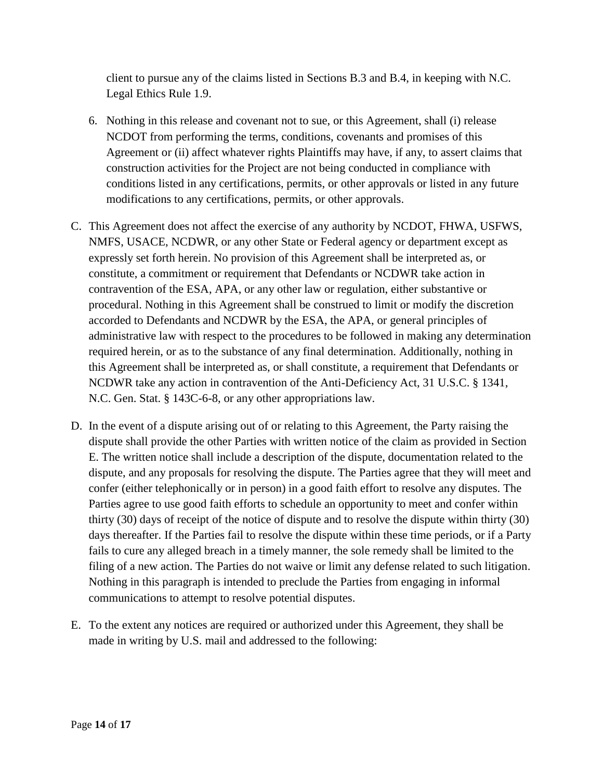client to pursue any of the claims listed in Sections B.3 and B.4, in keeping with N.C. Legal Ethics Rule 1.9.

- 6. Nothing in this release and covenant not to sue, or this Agreement, shall (i) release NCDOT from performing the terms, conditions, covenants and promises of this Agreement or (ii) affect whatever rights Plaintiffs may have, if any, to assert claims that construction activities for the Project are not being conducted in compliance with conditions listed in any certifications, permits, or other approvals or listed in any future modifications to any certifications, permits, or other approvals.
- C. This Agreement does not affect the exercise of any authority by NCDOT, FHWA, USFWS, NMFS, USACE, NCDWR, or any other State or Federal agency or department except as expressly set forth herein. No provision of this Agreement shall be interpreted as, or constitute, a commitment or requirement that Defendants or NCDWR take action in contravention of the ESA, APA, or any other law or regulation, either substantive or procedural. Nothing in this Agreement shall be construed to limit or modify the discretion accorded to Defendants and NCDWR by the ESA, the APA, or general principles of administrative law with respect to the procedures to be followed in making any determination required herein, or as to the substance of any final determination. Additionally, nothing in this Agreement shall be interpreted as, or shall constitute, a requirement that Defendants or NCDWR take any action in contravention of the Anti-Deficiency Act, 31 U.S.C. § 1341, N.C. Gen. Stat. § 143C-6-8, or any other appropriations law.
- D. In the event of a dispute arising out of or relating to this Agreement, the Party raising the dispute shall provide the other Parties with written notice of the claim as provided in Section E. The written notice shall include a description of the dispute, documentation related to the dispute, and any proposals for resolving the dispute. The Parties agree that they will meet and confer (either telephonically or in person) in a good faith effort to resolve any disputes. The Parties agree to use good faith efforts to schedule an opportunity to meet and confer within thirty (30) days of receipt of the notice of dispute and to resolve the dispute within thirty (30) days thereafter. If the Parties fail to resolve the dispute within these time periods, or if a Party fails to cure any alleged breach in a timely manner, the sole remedy shall be limited to the filing of a new action. The Parties do not waive or limit any defense related to such litigation. Nothing in this paragraph is intended to preclude the Parties from engaging in informal communications to attempt to resolve potential disputes.
- E. To the extent any notices are required or authorized under this Agreement, they shall be made in writing by U.S. mail and addressed to the following: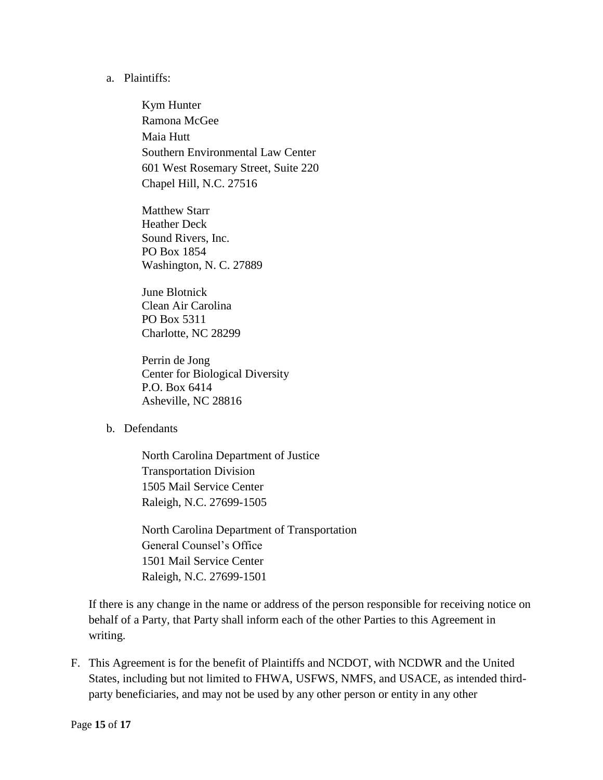## a. Plaintiffs:

Kym Hunter Ramona McGee Maia Hutt Southern Environmental Law Center 601 West Rosemary Street, Suite 220 Chapel Hill, N.C. 27516

Matthew Starr Heather Deck Sound Rivers, Inc. PO Box 1854 Washington, N. C. 27889

June Blotnick Clean Air Carolina PO Box 5311 Charlotte, NC 28299

Perrin de Jong Center for Biological Diversity P.O. Box 6414 Asheville, NC 28816

### b. Defendants

North Carolina Department of Justice Transportation Division 1505 Mail Service Center Raleigh, N.C. 27699-1505

North Carolina Department of Transportation General Counsel's Office 1501 Mail Service Center Raleigh, N.C. 27699-1501

If there is any change in the name or address of the person responsible for receiving notice on behalf of a Party, that Party shall inform each of the other Parties to this Agreement in writing.

F. This Agreement is for the benefit of Plaintiffs and NCDOT, with NCDWR and the United States, including but not limited to FHWA, USFWS, NMFS, and USACE, as intended thirdparty beneficiaries, and may not be used by any other person or entity in any other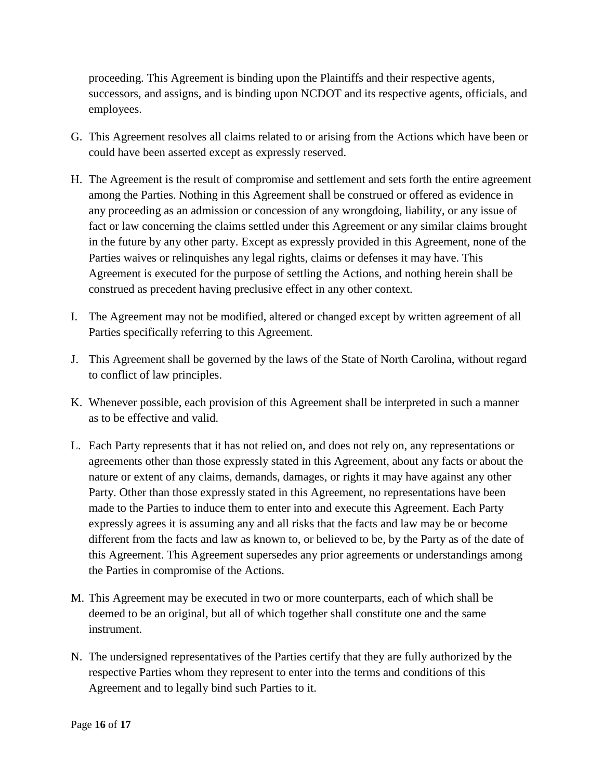proceeding. This Agreement is binding upon the Plaintiffs and their respective agents, successors, and assigns, and is binding upon NCDOT and its respective agents, officials, and employees.

- G. This Agreement resolves all claims related to or arising from the Actions which have been or could have been asserted except as expressly reserved.
- H. The Agreement is the result of compromise and settlement and sets forth the entire agreement among the Parties. Nothing in this Agreement shall be construed or offered as evidence in any proceeding as an admission or concession of any wrongdoing, liability, or any issue of fact or law concerning the claims settled under this Agreement or any similar claims brought in the future by any other party. Except as expressly provided in this Agreement, none of the Parties waives or relinquishes any legal rights, claims or defenses it may have. This Agreement is executed for the purpose of settling the Actions, and nothing herein shall be construed as precedent having preclusive effect in any other context.
- I. The Agreement may not be modified, altered or changed except by written agreement of all Parties specifically referring to this Agreement.
- J. This Agreement shall be governed by the laws of the State of North Carolina, without regard to conflict of law principles.
- K. Whenever possible, each provision of this Agreement shall be interpreted in such a manner as to be effective and valid.
- L. Each Party represents that it has not relied on, and does not rely on, any representations or agreements other than those expressly stated in this Agreement, about any facts or about the nature or extent of any claims, demands, damages, or rights it may have against any other Party. Other than those expressly stated in this Agreement, no representations have been made to the Parties to induce them to enter into and execute this Agreement. Each Party expressly agrees it is assuming any and all risks that the facts and law may be or become different from the facts and law as known to, or believed to be, by the Party as of the date of this Agreement. This Agreement supersedes any prior agreements or understandings among the Parties in compromise of the Actions.
- M. This Agreement may be executed in two or more counterparts, each of which shall be deemed to be an original, but all of which together shall constitute one and the same instrument.
- N. The undersigned representatives of the Parties certify that they are fully authorized by the respective Parties whom they represent to enter into the terms and conditions of this Agreement and to legally bind such Parties to it.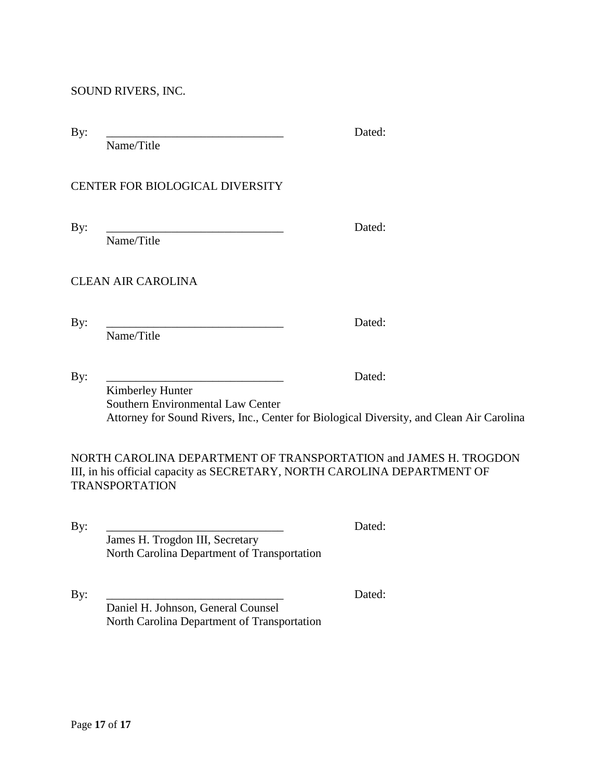By: \_\_\_\_\_\_\_\_\_\_\_\_\_\_\_\_\_\_\_\_\_\_\_\_\_\_\_\_\_\_ Dated:

Name/Title

# CENTER FOR BIOLOGICAL DIVERSITY

Name/Title

By: \_\_\_\_\_\_\_\_\_\_\_\_\_\_\_\_\_\_\_\_\_\_\_\_\_\_\_\_\_\_ Dated:

CLEAN AIR CAROLINA

Name/Title

By: \_\_\_\_\_\_\_\_\_\_\_\_\_\_\_\_\_\_\_\_\_\_\_\_\_\_\_\_\_\_ Dated:

By: \_\_\_\_\_\_\_\_\_\_\_\_\_\_\_\_\_\_\_\_\_\_\_\_\_\_\_\_\_\_ Dated: Kimberley Hunter Southern Environmental Law Center Attorney for Sound Rivers, Inc., Center for Biological Diversity, and Clean Air Carolina

NORTH CAROLINA DEPARTMENT OF TRANSPORTATION and JAMES H. TROGDON III, in his official capacity as SECRETARY, NORTH CAROLINA DEPARTMENT OF TRANSPORTATION

By: \_\_\_\_\_\_\_\_\_\_\_\_\_\_\_\_\_\_\_\_\_\_\_\_\_\_\_\_\_\_ Dated: James H. Trogdon III, Secretary North Carolina Department of Transportation

By: \_\_\_\_\_\_\_\_\_\_\_\_\_\_\_\_\_\_\_\_\_\_\_\_\_\_\_\_\_\_ Dated: Daniel H. Johnson, General Counsel North Carolina Department of Transportation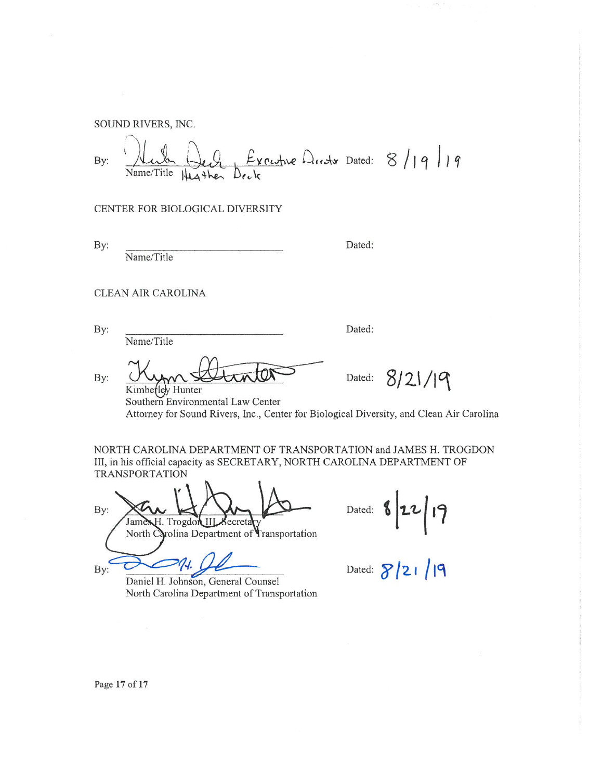Excepte Drector Dated:  $8/19/19$ By: Name/Title Heather

CENTER FOR BIOLOGICAL DIVERSITY

By:

Name/Title

Dated:

Dated:

CLEAN AIR CAROLINA

By:

By:

By:

Name/Title

Kimberley Hunter

 $8/21/19$ Dated:

Southern Environmental Law Center Attorney for Sound Rivers, Inc., Center for Biological Diversity, and Clean Air Carolina

NORTH CAROLINA DEPARTMENT OF TRANSPORTATION and JAMES H. TROGDON III, in his official capacity as SECRETARY, NORTH CAROLINA DEPARTMENT OF **TRANSPORTATION** 

By: James H. Trogdon III Secreta North Carolina Department of Transportation

Daniel H. Johnson, General Counsel

North Carolina Department of Transportation

22/19 Dated:

Dated:  $8/21/19$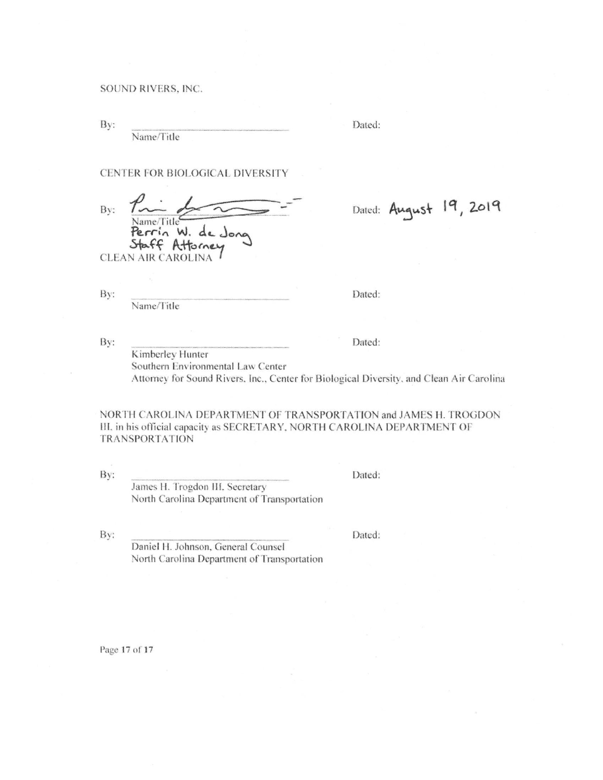By:

Name/Title

Dated:

CENTER FOR BIOLOGICAL DIVERSITY

Bv: Vame/Title Perrin W. de Jong Staff Attorney

**CLEAN AIR CAROLINA** 

By:

Name/Title

Dated:

Dated: August 19, 2019

By:

Dated: Kimberley Hunter Southern Environmental Law Center Attorney for Sound Rivers, Inc., Center for Biological Diversity, and Clean Air Carolina

NORTH CAROLINA DEPARTMENT OF TRANSPORTATION and JAMES H. TROGDON III, in his official capacity as SECRETARY, NORTH CAROLINA DEPARTMENT OF **TRANSPORTATION** 

By:

James H. Trogdon III, Secretary North Carolina Department of Transportation

By:

Dated:

Dated:

North Carolina Department of Transportation

Daniel H. Johnson, General Counsel

Page 17 of 17